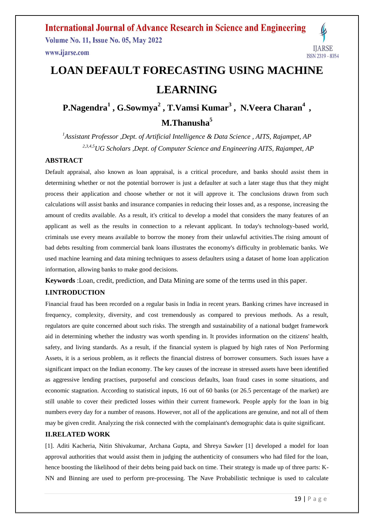

# **LOAN DEFAULT FORECASTING USING MACHINE LEARNING**

**P.Nagendra<sup>1</sup> , G.Sowmya<sup>2</sup> , T.Vamsi Kumar<sup>3</sup> , N.Veera Charan<sup>4</sup> , M.Thanusha<sup>5</sup>**

*<sup>1</sup>Assistant Professor ,Dept. of Artificial Intelligence & Data Science , AITS, Rajampet, AP 2,3,4,5UG Scholars ,Dept. of Computer Science and Engineering AITS, Rajampet, AP*

#### **ABSTRACT**

Default appraisal, also known as loan appraisal, is a critical procedure, and banks should assist them in determining whether or not the potential borrower is just a defaulter at such a later stage thus that they might process their application and choose whether or not it will approve it. The conclusions drawn from such calculations will assist banks and insurance companies in reducing their losses and, as a response, increasing the amount of credits available. As a result, it's critical to develop a model that considers the many features of an applicant as well as the results in connection to a relevant applicant. In today's technology-based world, criminals use every means available to borrow the money from their unlawful activities.The rising amount of bad debts resulting from commercial bank loans illustrates the economy's difficulty in problematic banks. We used machine learning and data mining techniques to assess defaulters using a dataset of home loan application information, allowing banks to make good decisions.

**Keywords** :Loan, credit, prediction, and Data Mining are some of the terms used in this paper.

#### **I.INTRODUCTION**

Financial fraud has been recorded on a regular basis in India in recent years. Banking crimes have increased in frequency, complexity, diversity, and cost tremendously as compared to previous methods. As a result, regulators are quite concerned about such risks. The strength and sustainability of a national budget framework aid in determining whether the industry was worth spending in. It provides information on the citizens' health, safety, and living standards. As a result, if the financial system is plagued by high rates of Non Performing Assets, it is a serious problem, as it reflects the financial distress of borrower consumers. Such issues have a significant impact on the Indian economy. The key causes of the increase in stressed assets have been identified as aggressive lending practises, purposeful and conscious defaults, loan fraud cases in some situations, and economic stagnation. According to statistical inputs, 16 out of 60 banks (or 26.5 percentage of the market) are still unable to cover their predicted losses within their current framework. People apply for the loan in big numbers every day for a number of reasons. However, not all of the applications are genuine, and not all of them may be given credit. Analyzing the risk connected with the complainant's demographic data is quite significant.

#### **II.RELATED WORK**

[1]. Aditi Kacheria, Nitin Shivakumar, Archana Gupta, and Shreya Sawker [1] developed a model for loan approval authorities that would assist them in judging the authenticity of consumers who had filed for the loan, hence boosting the likelihood of their debts being paid back on time. Their strategy is made up of three parts: K-NN and Binning are used to perform pre-processing. The Nave Probabilistic technique is used to calculate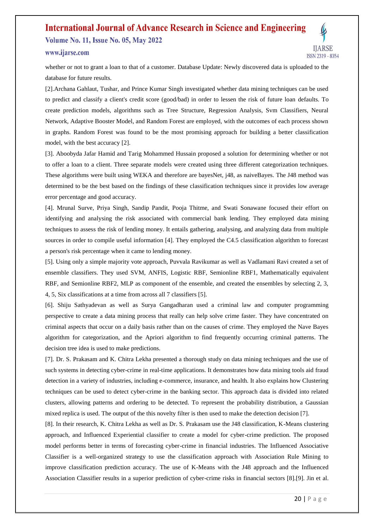# **International Journal of Advance Research in Science and Engineering Volume No. 11, Issue No. 05, May 2022**

# www.iiarse.com

whether or not to grant a loan to that of a customer. Database Update: Newly discovered data is uploaded to the database for future results.

[2].Archana Gahlaut, Tushar, and Prince Kumar Singh investigated whether data mining techniques can be used to predict and classify a client's credit score (good/bad) in order to lessen the risk of future loan defaults. To create prediction models, algorithms such as Tree Structure, Regression Analysis, Svm Classifiers, Neural Network, Adaptive Booster Model, and Random Forest are employed, with the outcomes of each process shown in graphs. Random Forest was found to be the most promising approach for building a better classification model, with the best accuracy [2].

[3]. Aboobyda Jafar Hamid and Tarig Mohammed Hussain proposed a solution for determining whether or not to offer a loan to a client. Three separate models were created using three different categorization techniques. These algorithms were built using WEKA and therefore are bayesNet, j48, as naiveBayes. The J48 method was determined to be the best based on the findings of these classification techniques since it provides low average error percentage and good accuracy.

[4]. Mrunal Surve, Priya Singh, Sandip Pandit, Pooja Thitme, and Swati Sonawane focused their effort on identifying and analysing the risk associated with commercial bank lending. They employed data mining techniques to assess the risk of lending money. It entails gathering, analysing, and analyzing data from multiple sources in order to compile useful information [4]. They employed the C4.5 classification algorithm to forecast a person's risk percentage when it came to lending money.

[5]. Using only a simple majority vote approach, Puvvala Ravikumar as well as Vadlamani Ravi created a set of ensemble classifiers. They used SVM, ANFIS, Logistic RBF, Semionline RBF1, Mathematically equivalent RBF, and Semionline RBF2, MLP as component of the ensemble, and created the ensembles by selecting 2, 3, 4, 5, Six classifications at a time from across all 7 classifiers [5].

[6]. Shiju Sathyadevan as well as Surya Gangadharan used a criminal law and computer programming perspective to create a data mining process that really can help solve crime faster. They have concentrated on criminal aspects that occur on a daily basis rather than on the causes of crime. They employed the Nave Bayes algorithm for categorization, and the Apriori algorithm to find frequently occurring criminal patterns. The decision tree idea is used to make predictions.

[7]. Dr. S. Prakasam and K. Chitra Lekha presented a thorough study on data mining techniques and the use of such systems in detecting cyber-crime in real-time applications. It demonstrates how data mining tools aid fraud detection in a variety of industries, including e-commerce, insurance, and health. It also explains how Clustering techniques can be used to detect cyber-crime in the banking sector. This approach data is divided into related clusters, allowing patterns and ordering to be detected. To represent the probability distribution, a Gaussian mixed replica is used. The output of the this novelty filter is then used to make the detection decision [7].

[8]. In their research, K. Chitra Lekha as well as Dr. S. Prakasam use the J48 classification, K-Means clustering approach, and Influenced Experiential classifier to create a model for cyber-crime prediction. The proposed model performs better in terms of forecasting cyber-crime in financial industries. The Influenced Associative Classifier is a well-organized strategy to use the classification approach with Association Rule Mining to improve classification prediction accuracy. The use of K-Means with the J48 approach and the Influenced Association Classifier results in a superior prediction of cyber-crime risks in financial sectors [8].[9]. Jin et al.

**IIARSE**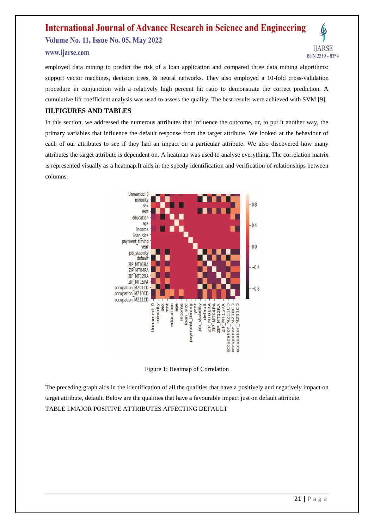**Volume No. 11, Issue No. 05, May 2022** 

### www.iiarse.com

employed data mining to predict the risk of a loan application and compared three data mining algorithms: support vector machines, decision trees,  $\&$  neural networks. They also employed a 10-fold cross-validation procedure in conjunction with a relatively high percent hit ratio to demonstrate the correct prediction. A cumulative lift coefficient analysis was used to assess the quality. The best results were achieved with SVM [9].

# **III.FIGURES AND TABLES**

In this section, we addressed the numerous attributes that influence the outcome, or, to put it another way, the primary variables that influence the default response from the target attribute. We looked at the behaviour of each of our attributes to see if they had an impact on a particular attribute. We also discovered how many attributes the target attribute is dependent on. A heatmap was used to analyse everything. The correlation matrix is represented visually as a heatmap.It aids in the speedy identification and verification of relationships between columns.



Figure 1: Heatmap of Correlation

The preceding graph aids in the identification of all the qualities that have a positively and negatively impact on target attribute, default. Below are the qualities that have a favourable impact just on default attribute. TABLE I.MAJOR POSITIVE ATTRIBUTES AFFECTING DEFAULT

**IIARSE**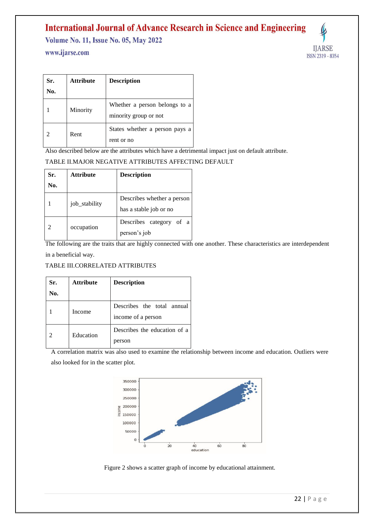**Volume No. 11, Issue No. 05, May 2022** 

# www.ijarse.com



| Sr. | <b>Attribute</b> | <b>Description</b>                                     |  |
|-----|------------------|--------------------------------------------------------|--|
| No. |                  |                                                        |  |
|     | Minority         | Whether a person belongs to a<br>minority group or not |  |
|     | Rent             | States whether a person pays a<br>rent or no           |  |

Also described below are the attributes which have a detrimental impact just on default attribute.

## TABLE II.MAJOR NEGATIVE ATTRIBUTES AFFECTING DEFAULT

| Sr. | <b>Attribute</b> | <b>Description</b>         |  |  |
|-----|------------------|----------------------------|--|--|
| No. |                  |                            |  |  |
|     | job_stability    | Describes whether a person |  |  |
|     |                  | has a stable job or no     |  |  |
| 2   | occupation       | Describes category of a    |  |  |
|     |                  | person's job               |  |  |

The following are the traits that are highly connected with one another. These characteristics are interdependent in a beneficial way.

## TABLE III.CORRELATED ATTRIBUTES

| Sr. | <b>Attribute</b> | <b>Description</b>           |  |  |
|-----|------------------|------------------------------|--|--|
| No. |                  |                              |  |  |
|     | Income           | Describes the total annual   |  |  |
|     |                  | income of a person           |  |  |
|     | Education        | Describes the education of a |  |  |
|     |                  | person                       |  |  |

A correlation matrix was also used to examine the relationship between income and education. Outliers were also looked for in the scatter plot.



Figure 2 shows a scatter graph of income by educational attainment.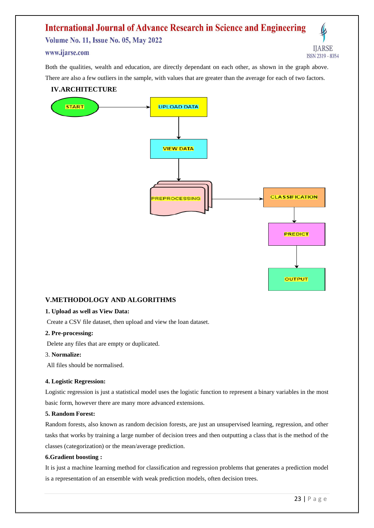**Volume No. 11, Issue No. 05, May 2022** 

## www.iiarse.com

Both the qualities, wealth and education, are directly dependant on each other, as shown in the graph above. There are also a few outliers in the sample, with values that are greater than the average for each of two factors.

# **IV.ARCHITECTURE**



#### **V.METHODOLOGY AND ALGORITHMS**

#### **1. Upload as well as View Data:**

Create a CSV file dataset, then upload and view the loan dataset.

#### **2. Pre-processing:**

Delete any files that are empty or duplicated.

3. **Normalize:**

All files should be normalised.

#### **4. Logistic Regression:**

Logistic regression is just a statistical model uses the logistic function to represent a binary variables in the most basic form, however there are many more advanced extensions.

#### **5. Random Forest:**

Random forests, also known as random decision forests, are just an unsupervised learning, regression, and other tasks that works by training a large number of decision trees and then outputting a class that is the method of the classes (categorization) or the mean/average prediction.

#### **6.Gradient boosting :**

It is just a machine learning method for classification and regression problems that generates a prediction model is a representation of an ensemble with weak prediction models, often decision trees.

**IIARSE**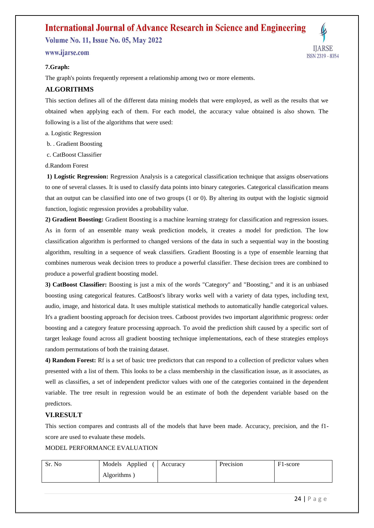**Volume No. 11, Issue No. 05, May 2022** 

www.iiarse.com

#### **7.Graph:**

The graph's points frequently represent a relationship among two or more elements.

# **ALGORITHMS**

This section defines all of the different data mining models that were employed, as well as the results that we obtained when applying each of them. For each model, the accuracy value obtained is also shown. The following is a list of the algorithms that were used:

a. Logistic Regression

b. . Gradient Boosting

c. CatBoost Classifier

d.Random Forest

**1) Logistic Regression:** Regression Analysis is a categorical classification technique that assigns observations to one of several classes. It is used to classify data points into binary categories. Categorical classification means that an output can be classified into one of two groups (1 or 0). By altering its output with the logistic sigmoid function, logistic regression provides a probability value.

**2) Gradient Boosting:** Gradient Boosting is a machine learning strategy for classification and regression issues. As in form of an ensemble many weak prediction models, it creates a model for prediction. The low classification algorithm is performed to changed versions of the data in such a sequential way in the boosting algorithm, resulting in a sequence of weak classifiers. Gradient Boosting is a type of ensemble learning that combines numerous weak decision trees to produce a powerful classifier. These decision trees are combined to produce a powerful gradient boosting model.

**3) CatBoost Classifier:** Boosting is just a mix of the words "Category" and "Boosting," and it is an unbiased boosting using categorical features. CatBoost's library works well with a variety of data types, including text, audio, image, and historical data. It uses multiple statistical methods to automatically handle categorical values. It's a gradient boosting approach for decision trees. Catboost provides two important algorithmic progress: order boosting and a category feature processing approach. To avoid the prediction shift caused by a specific sort of target leakage found across all gradient boosting technique implementations, each of these strategies employs random permutations of both the training dataset.

**4) Random Forest:** Rf is a set of basic tree predictors that can respond to a collection of predictor values when presented with a list of them. This looks to be a class membership in the classification issue, as it associates, as well as classifies, a set of independent predictor values with one of the categories contained in the dependent variable. The tree result in regression would be an estimate of both the dependent variable based on the predictors.

## **VI.RESULT**

This section compares and contrasts all of the models that have been made. Accuracy, precision, and the f1 score are used to evaluate these models.

MODEL PERFORMANCE EVALUATION

| Sr. No | Models Applied | Accuracy | Precision | F <sub>1</sub> -score |
|--------|----------------|----------|-----------|-----------------------|
|        | Algorithms     |          |           |                       |

**IIARSE**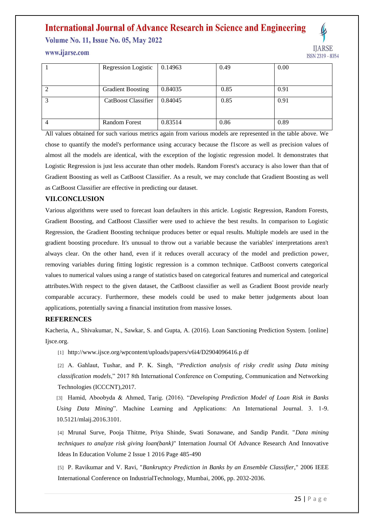**Volume No. 11, Issue No. 05, May 2022** 

www.iiarse.com



|                | Regression Logistic      | 0.14963 | 0.49 | 0.00 |
|----------------|--------------------------|---------|------|------|
|                |                          |         |      |      |
| 2              | <b>Gradient Boosting</b> | 0.84035 | 0.85 | 0.91 |
| 3              | CatBoost Classifier      | 0.84045 | 0.85 | 0.91 |
|                |                          |         |      |      |
| $\overline{4}$ | <b>Random Forest</b>     | 0.83514 | 0.86 | 0.89 |

All values obtained for such various metrics again from various models are represented in the table above. We chose to quantify the model's performance using accuracy because the f1score as well as precision values of almost all the models are identical, with the exception of the logistic regression model. It demonstrates that Logistic Regression is just less accurate than other models. Random Forest's accuracy is also lower than that of Gradient Boosting as well as CatBoost Classifier. As a result, we may conclude that Gradient Boosting as well as CatBoost Classifier are effective in predicting our dataset.

#### **VII.CONCLUSION**

Various algorithms were used to forecast loan defaulters in this article. Logistic Regression, Random Forests, Gradient Boosting, and CatBoost Classifier were used to achieve the best results. In comparison to Logistic Regression, the Gradient Boosting technique produces better or equal results. Multiple models are used in the gradient boosting procedure. It's unusual to throw out a variable because the variables' interpretations aren't always clear. On the other hand, even if it reduces overall accuracy of the model and prediction power, removing variables during fitting logistic regression is a common technique. CatBoost converts categorical values to numerical values using a range of statistics based on categorical features and numerical and categorical attributes.With respect to the given dataset, the CatBoost classifier as well as Gradient Boost provide nearly comparable accuracy. Furthermore, these models could be used to make better judgements about loan applications, potentially saving a financial institution from massive losses.

## **REFERENCES**

Kacheria, A., Shivakumar, N., Sawkar, S. and Gupta, A. (2016). Loan Sanctioning Prediction System. [online] Iisce.org.

[1] http://www.ijsce.org/wpcontent/uploads/papers/v6i4/D2904096416.p df

[2] A. Gahlaut, Tushar, and P. K. Singh, "*Prediction analysis of risky credit using Data mining classification models*," 2017 8th International Conference on Computing, Communication and Networking Technologies (ICCCNT),2017.

[3] Hamid, Aboobyda & Ahmed, Tarig. (2016). "*Developing Prediction Model of Loan Risk in Banks Using Data Mining*". Machine Learning and Applications: An International Journal. 3. 1-9. 10.5121/mlaij.2016.3101.

[4] Mrunal Surve, Pooja Thitme, Priya Shinde, Swati Sonawane, and Sandip Pandit. "*Data mining techniques to analyze risk giving loan(bank)*" Internation Journal Of Advance Research And Innovative Ideas In Education Volume 2 Issue 1 2016 Page 485-490

[5] P. Ravikumar and V. Ravi, "*Bankruptcy Prediction in Banks by an Ensemble Classifier*," 2006 IEEE International Conference on IndustrialTechnology, Mumbai, 2006, pp. 2032-2036.